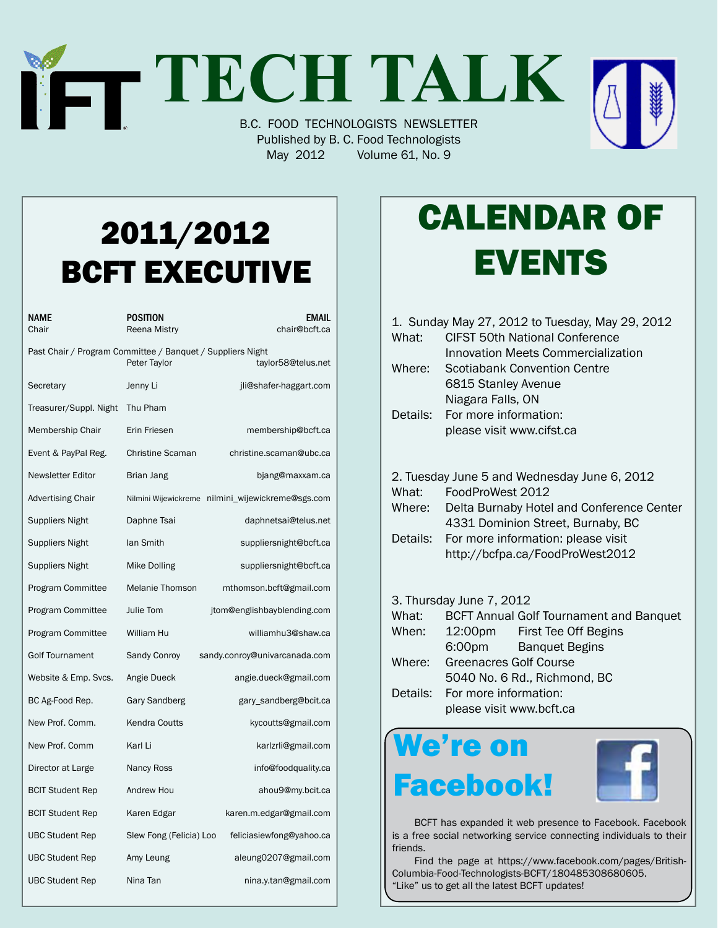## **TECH TALK** B.C. FOOD TECHNOLOGISTS NEWSLETTER

Published by B. C. Food Technologists May 2012 Volume 61, No. 9

## 2011/2012 BCFT EXECUTIVE

| NAME<br>Chair                                              | <b>POSITION</b><br>EMAIL<br>chair@bcft.ca<br>Reena Mistry |                                                   |
|------------------------------------------------------------|-----------------------------------------------------------|---------------------------------------------------|
| Past Chair / Program Committee / Banquet / Suppliers Night | Peter Taylor                                              | taylor58@telus.net                                |
| Secretary                                                  | Jenny Li                                                  | jli@shafer-haggart.com                            |
| Treasurer/Suppl. Night                                     | Thu Pham                                                  |                                                   |
| Membership Chair                                           | Erin Friesen                                              | membership@bcft.ca                                |
| Event & PayPal Reg.                                        | <b>Christine Scaman</b>                                   | christine.scaman@ubc.ca                           |
| <b>Newsletter Editor</b>                                   | Brian Jang                                                | bjang@maxxam.ca                                   |
| Advertising Chair                                          |                                                           | Nilmini Wijewickreme nilmini_wijewickreme@sgs.com |
| <b>Suppliers Night</b>                                     | Daphne Tsai                                               | daphnetsai@telus.net                              |
| <b>Suppliers Night</b>                                     | lan Smith                                                 | suppliersnight@bcft.ca                            |
| Suppliers Night                                            | Mike Dolling                                              | suppliersnight@bcft.ca                            |
| Program Committee                                          | <b>Melanie Thomson</b>                                    | mthomson.bcft@gmail.com                           |
| Program Committee                                          | Julie Tom                                                 | jtom@englishbayblending.com                       |
| Program Committee                                          | William Hu                                                | williamhu3@shaw.ca                                |
| <b>Golf Tournament</b>                                     | Sandy Conroy                                              | sandy.conroy@univarcanada.com                     |
| Website & Emp. Svcs.                                       | Angie Dueck                                               | angie.dueck@gmail.com                             |
| BC Ag-Food Rep.                                            | Gary Sandberg                                             | gary_sandberg@bcit.ca                             |
| New Prof. Comm.                                            | Kendra Coutts                                             | kycoutts@gmail.com                                |
| New Prof. Comm                                             | Karl Li                                                   | karlzrli@gmail.com                                |
| Director at Large                                          | Nancy Ross                                                | info@foodquality.ca                               |
| <b>BCIT Student Rep</b>                                    | Andrew Hou                                                | ahou9@my.bcit.ca                                  |
| <b>BCIT Student Rep</b>                                    | Karen Edgar                                               | karen.m.edgar@gmail.com                           |
| <b>UBC Student Rep</b>                                     | Slew Fong (Felicia) Loo                                   | feliciasiewfong@yahoo.ca                          |
| <b>UBC Student Rep</b>                                     | Amy Leung                                                 | aleung0207@gmail.com                              |
| <b>UBC Student Rep</b>                                     | Nina Tan                                                  | nina.y.tan@gmail.com                              |

## Calendar Of **EVENTS**

|                                              |          | 1. Sunday May 27, 2012 to Tuesday, May 29, 2012 |  |  |
|----------------------------------------------|----------|-------------------------------------------------|--|--|
|                                              | What:    | CIFST 50th National Conference                  |  |  |
|                                              |          | Innovation Meets Commercialization              |  |  |
|                                              | Where:   | Scotiabank Convention Centre                    |  |  |
|                                              |          | 6815 Stanley Avenue                             |  |  |
|                                              |          | Niagara Falls, ON                               |  |  |
|                                              | Details: | For more information:                           |  |  |
|                                              |          | please visit www.cifst.ca                       |  |  |
|                                              |          |                                                 |  |  |
|                                              |          |                                                 |  |  |
| 2. Tuesday June 5 and Wednesday June 6, 2012 |          |                                                 |  |  |
|                                              | What:    | FoodProWest 2012                                |  |  |
|                                              | Where:   | Delta Burnaby Hotel and Conference Center       |  |  |
|                                              |          | 4331 Dominion Street, Burnaby, BC               |  |  |
|                                              | Details: | For more information: please visit              |  |  |
|                                              |          | http://bcfpa.ca/FoodProWest2012                 |  |  |
|                                              |          |                                                 |  |  |

#### 3. Thursday June 7, 2012

| What: | <b>BCFT Annual Golf Tournament and Banquet</b> |                       |  |  |
|-------|------------------------------------------------|-----------------------|--|--|
| When: | 12:00pm                                        | First Tee Off Begins  |  |  |
|       | 6:00pm                                         | <b>Banquet Begins</b> |  |  |
|       | Where: Greenacres Golf Course                  |                       |  |  |
|       | 5040 No. 6 Rd., Richmond, BC                   |                       |  |  |
|       | Details: For more information:                 |                       |  |  |
|       | please visit www.bcft.ca                       |                       |  |  |

### We're on Facebook!



 BCFT has expanded it web presence to Facebook. Facebook is a free social networking service connecting individuals to their friends.

Find the page at https://www.facebook.com/pages/British-Columbia-Food-Technologists-BCFT/180485308680605. "Like" us to get all the latest BCFT updates!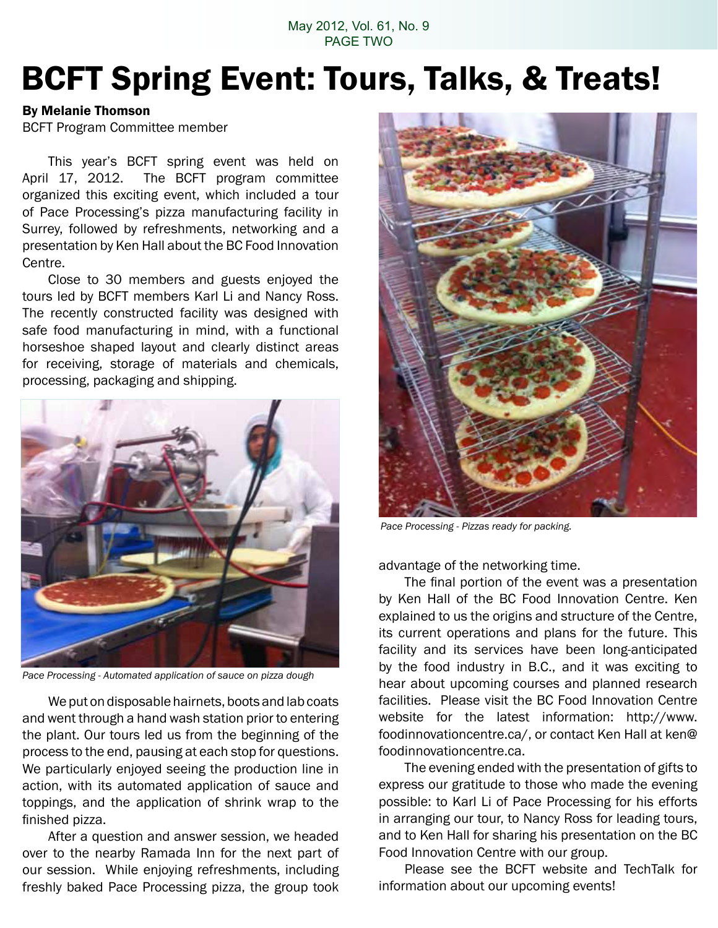May 2012, Vol. 61, No. 9 PAGE TWO

### BCFT Spring Event: Tours, Talks, & Treats!

#### By Melanie Thomson

BCFT Program Committee member

This year's BCFT spring event was held on April 17, 2012. The BCFT program committee organized this exciting event, which included a tour of Pace Processing's pizza manufacturing facility in Surrey, followed by refreshments, networking and a presentation by Ken Hall about the BC Food Innovation Centre.

Close to 30 members and guests enjoyed the tours led by BCFT members Karl Li and Nancy Ross. The recently constructed facility was designed with safe food manufacturing in mind, with a functional horseshoe shaped layout and clearly distinct areas for receiving, storage of materials and chemicals, processing, packaging and shipping.



*Pace Processing - Automated application of sauce on pizza dough*

We put on disposable hairnets, boots and lab coats and went through a hand wash station prior to entering the plant. Our tours led us from the beginning of the process to the end, pausing at each stop for questions. We particularly enjoyed seeing the production line in action, with its automated application of sauce and toppings, and the application of shrink wrap to the finished pizza.

 After a question and answer session, we headed over to the nearby Ramada Inn for the next part of our session. While enjoying refreshments, including freshly baked Pace Processing pizza, the group took



*Pace Processing - Pizzas ready for packing.*

advantage of the networking time.

The final portion of the event was a presentation by Ken Hall of the BC Food Innovation Centre. Ken explained to us the origins and structure of the Centre, its current operations and plans for the future. This facility and its services have been long-anticipated by the food industry in B.C., and it was exciting to hear about upcoming courses and planned research facilities. Please visit the BC Food Innovation Centre website for the latest information: http://www. foodinnovationcentre.ca/, or contact Ken Hall at ken@ foodinnovationcentre.ca.

 The evening ended with the presentation of gifts to express our gratitude to those who made the evening possible: to Karl Li of Pace Processing for his efforts in arranging our tour, to Nancy Ross for leading tours, and to Ken Hall for sharing his presentation on the BC Food Innovation Centre with our group.

 Please see the BCFT website and TechTalk for information about our upcoming events!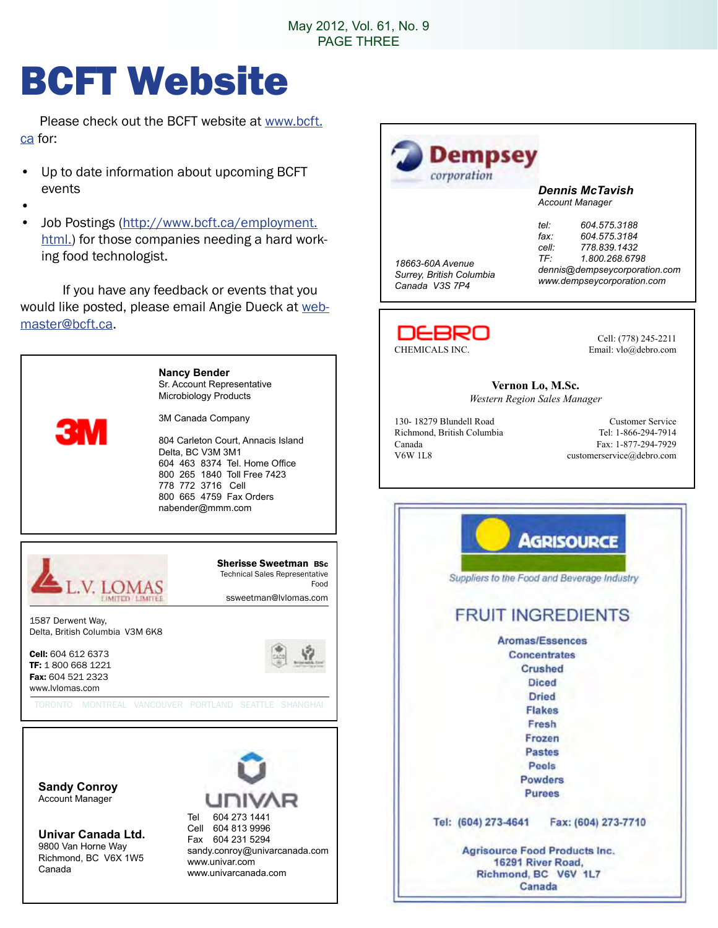## BCFT Website

 Please check out the BCFT website at www.bcft. ca for:

- Up to date information about upcoming BCFT events
- •
- Job Postings (http://www.bcft.ca/employment. html.) for those companies needing a hard working food technologist.

 If you have any feedback or events that you would like posted, please email Angie Dueck at webmaster@bcft.ca.

> **Nancy Bender** Sr. Account Representative Microbiology Products

3M Canada Company

804 Carleton Court, Annacis Island Delta, BC V3M 3M1 604 463 8374 Tel. Home Office 800 265 1840 Toll Free 7423 778 772 3716 Cell 800 665 4759 Fax Orders nabender@mmm.com



**Sandy Conroy** Account Manager

**Univar Canada Ltd.** 9800 Van Horne Way Richmond, BC V6X 1W5 Canada





*Dennis McTavish Account Manager*

*18663-60A Avenue Surrey, British Columbia Canada V3S 7P4*

*tel: 604.575.3188 fax: 604.575.3184 cell: 778.839.1432 TF: 1.800.268.6798 dennis@dempseycorporation.com www.dempseycorporation.com*



Cell: (778) 245-2211

**Vernon Lo, M.Sc.** *Western Region Sales Manager*

130- 18279 Blundell Road Customer Service Richmond, British Columbia Tel: 1-866-294-7914 Canada Fax: 1-877-294-7929 V6W 1L8 customerservice@debro.com

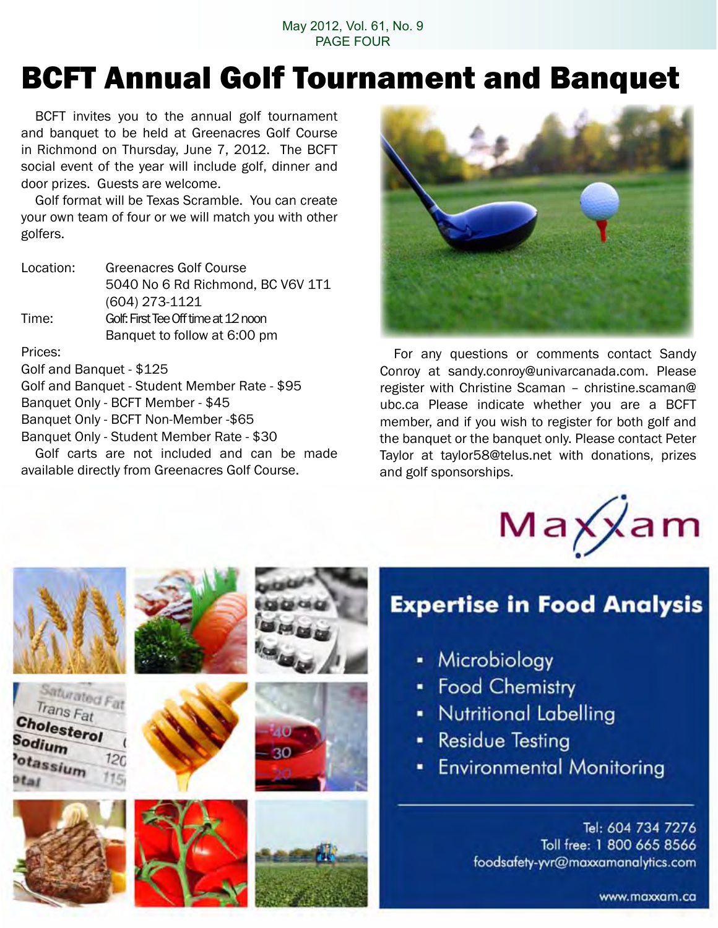#### May 2012, Vol. 61, No. 9 PAGE FOUR

## BCFT Annual Golf Tournament and Banquet

 BCFT invites you to the annual golf tournament and banquet to be held at Greenacres Golf Course in Richmond on Thursday, June 7, 2012. The BCFT social event of the year will include golf, dinner and door prizes. Guests are welcome.

 Golf format will be Texas Scramble. You can create your own team of four or we will match you with other golfers.

| Location: | <b>Greenacres Golf Course</b>       |
|-----------|-------------------------------------|
|           | 5040 No 6 Rd Richmond, BC V6V 1T1   |
|           | $(604)$ 273-1121                    |
| Time:     | Golf: First Tee Off time at 12 noon |
|           | Banquet to follow at 6:00 pm        |
|           |                                     |

#### Prices:

Golf and Banquet - \$125

Golf and Banquet - Student Member Rate - \$95 Banquet Only - BCFT Member - \$45 Banquet Only - BCFT Non-Member -\$65 Banquet Only - Student Member Rate - \$30

 Golf carts are not included and can be made available directly from Greenacres Golf Course.



 For any questions or comments contact Sandy Conroy at sandy.conroy@univarcanada.com. Please register with Christine Scaman – christine.scaman@ ubc.ca Please indicate whether you are a BCFT member, and if you wish to register for both golf and the banquet or the banquet only. Please contact Peter Taylor at taylor58@telus.net with donations, prizes and golf sponsorships.



### **Expertise in Food Analysis**

- Microbiology
- Food Chemistry
- Nutritional Labelling
- Residue Testing
- **Environmental Monitoring**

Tel: 604 734 7276 Toll free: 1 800 665 8566 foodsafety-yvr@maxxamanalytics.com

www.maxxam.ca



Trans Fat

Cholesterol

otassium

Sodium









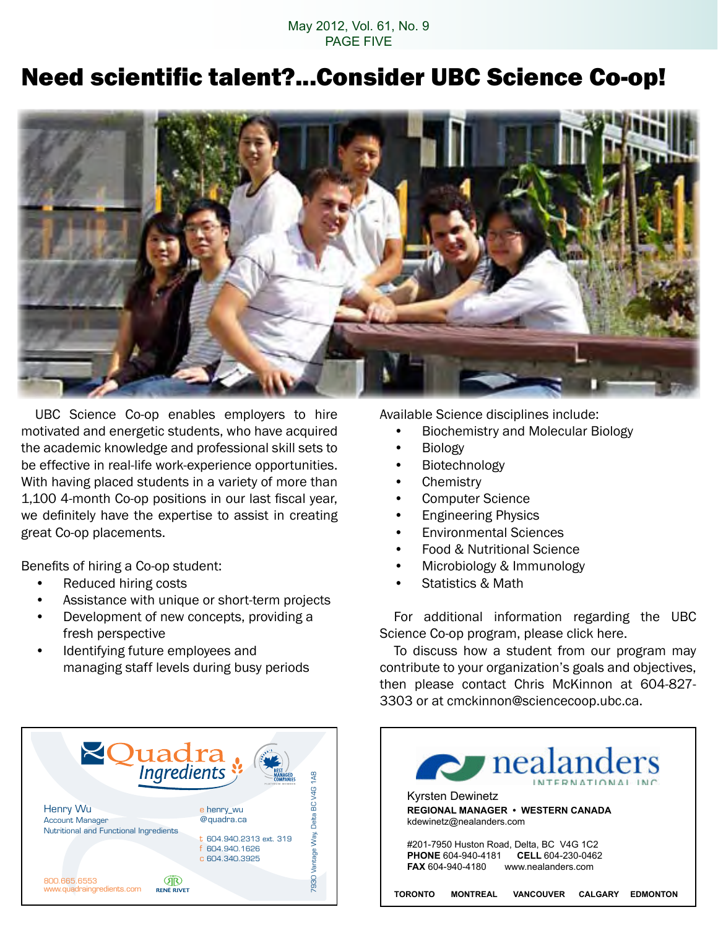#### May 2012, Vol. 61, No. 9 PAGE FIVE

### Need scientific talent?...Consider UBC Science Co-op!



 UBC Science Co-op enables employers to hire motivated and energetic students, who have acquired the academic knowledge and professional skill sets to be effective in real-life work-experience opportunities. With having placed students in a variety of more than 1,100 4-month Co-op positions in our last fiscal year, we definitely have the expertise to assist in creating great Co-op placements.

Benefits of hiring a Co-op student:

- Reduced hiring costs
- Assistance with unique or short-term projects
- Development of new concepts, providing a fresh perspective
- Identifying future employees and managing staff levels during busy periods



Available Science disciplines include:

- **Biochemistry and Molecular Biology**
- **Biology**
- • Biotechnology
- Chemistry
- • Computer Science
- Engineering Physics
- **Environmental Sciences**
- **Food & Nutritional Science**
- Microbiology & Immunology
- **Statistics & Math**

 For additional information regarding the UBC Science Co-op program, please click here.

 To discuss how a student from our program may contribute to your organization's goals and objectives, then please contact Chris McKinnon at 604-827- 3303 or at cmckinnon@sciencecoop.ubc.ca.

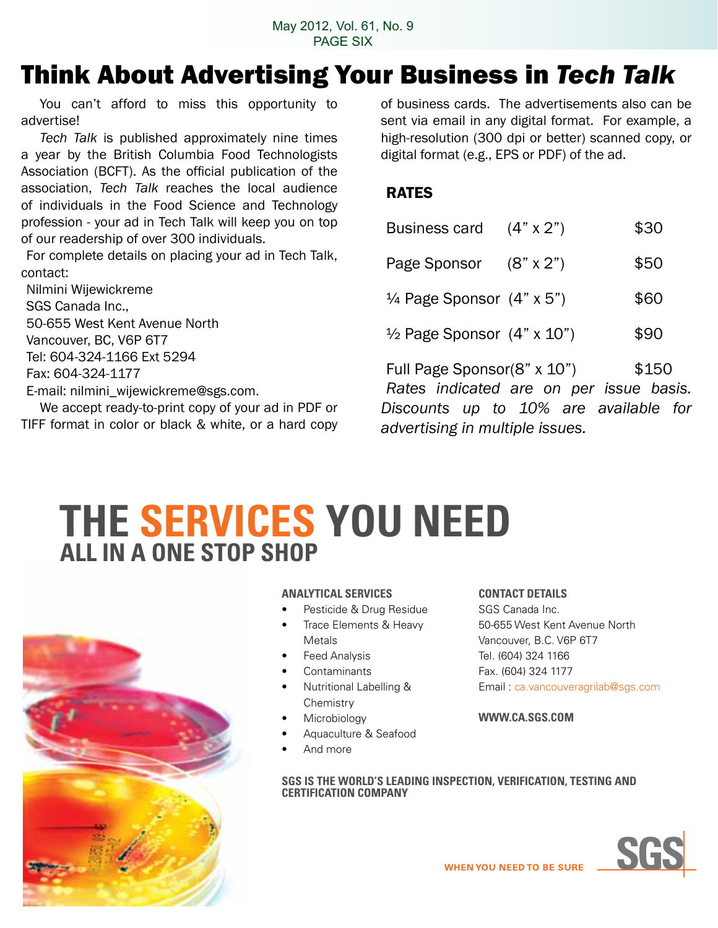### Think About Advertising Your Business in *Tech Talk*

You can't afford to miss this opportunity to advertise!

*Tech Talk* is published approximately nine times a year by the British Columbia Food Technologists Association (BCFT). As the official publication of the association, *Tech Talk* reaches the local audience of individuals in the Food Science and Technology profession - your ad in Tech Talk will keep you on top of our readership of over 300 individuals.

For complete details on placing your ad in Tech Talk, contact:

Nilmini Wijewickreme SGS Canada Inc., 50-655 West Kent Avenue North Vancouver, BC, V6P 6T7 Tel: 604-324-1166 Ext 5294 Fax: 604-324-1177 E-mail: nilmini\_wijewickreme@sgs.com.

 We accept ready-to-print copy of your ad in PDF or TIFF format in color or black & white, or a hard copy of business cards. The advertisements also can be sent via email in any digital format. For example, a high-resolution (300 dpi or better) scanned copy, or digital format (e.g., EPS or PDF) of the ad.

#### RATES

| Business card $(4" \times 2")$               |                                         | \$30  |
|----------------------------------------------|-----------------------------------------|-------|
| Page Sponsor (8" x 2")                       |                                         | \$50  |
| $\frac{1}{4}$ Page Sponsor $(4" \times 5")$  |                                         | \$60  |
| $\frac{1}{2}$ Page Sponsor $(4" \times 10")$ |                                         | \$90  |
| Full Page Sponsor(8" x 10")                  | Rates indicated are on per issue basis. | \$150 |
|                                              | Discounts up to 10% are available for   |       |

**THE SERVICES YOu NEED ALL IN A ONE STOP SHOP**



#### **ANALYTICAL SERVICES**

- Pesticide & Drug Residue
- Trace Elements & Heavy Metals
- **Feed Analysis**
- **Contaminants**
- **Nutritional Labelling & Chemistry**
- **Microbiology**
- Aquaculture & Seafood
- And more

#### **CONTACT DETAILS**

*advertising in multiple issues.*

SGS Canada Inc. 50-655 West Kent Avenue North Vancouver, B.C. V6P 6T7 Tel. (604) 324 1166 Fax. (604) 324 1177 Email : ca.vancouveragrilab@sgs.com

#### **WWW.CA.SGS.COM**

**SGS IS THE WORLD'S LEADING INSPECTION, VERIFICATION, TESTING AND CERTIFICATION COMPANY**

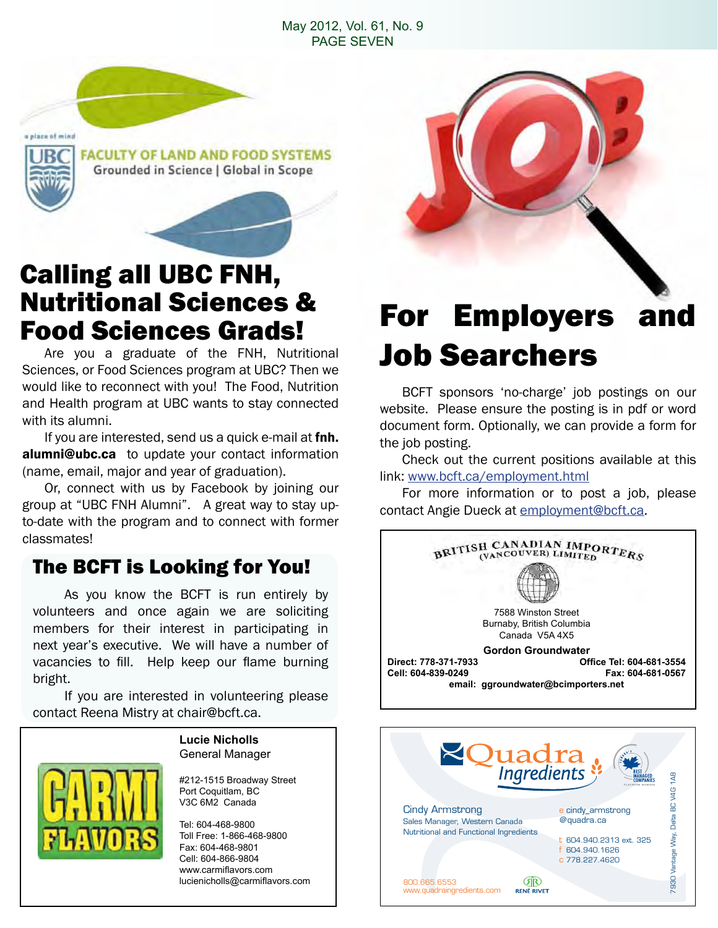#### May 2012, Vol. 61, No. 9 PAGE SEVEN



## Calling all UBC FNH, Nutritional Sciences &

 Are you a graduate of the FNH, Nutritional Sciences, or Food Sciences program at UBC? Then we would like to reconnect with you! The Food, Nutrition and Health program at UBC wants to stay connected with its alumni.

If you are interested, send us a quick e-mail at fnh. alumni@ubc.ca to update your contact information (name, email, major and year of graduation).

Or, connect with us by Facebook by joining our group at "UBC FNH Alumni". A great way to stay upto-date with the program and to connect with former classmates!

#### The BCFT is Looking for You!

 As you know the BCFT is run entirely by volunteers and once again we are soliciting members for their interest in participating in next year's executive. We will have a number of vacancies to fill. Help keep our flame burning bright.

 If you are interested in volunteering please contact Reena Mistry at chair@bcft.ca.

#### **Lucie Nicholls** General Manager

#212-1515 Broadway Street Port Coquitlam, BC V3C 6M2 Canada

Tel: 604-468-9800 Toll Free: 1-866-468-9800 Fax: 604-468-9801 Cell: 604-866-9804 www.carmiflavors.com lucienicholls@carmiflavors.com

### **Food Sciences Grads!** For Employers and Job Searchers

 BCFT sponsors 'no-charge' job postings on our website. Please ensure the posting is in pdf or word document form. Optionally, we can provide a form for the job posting.

 Check out the current positions available at this link: www.bcft.ca/employment.html

 For more information or to post a job, please contact Angie Dueck at employment@bcft.ca.